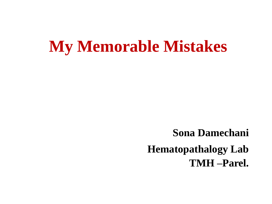## **My Memorable Mistakes**

**Sona Damechani Hematopathalogy Lab TMH –Parel.**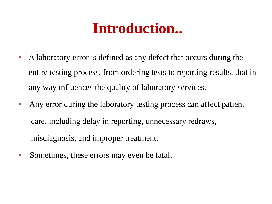## **Introduction..**

- A laboratory error is defined as any defect that occurs during the entire testing process, from ordering tests to reporting results, that in any way influences the quality of laboratory services.
- Any error during the laboratory testing process can affect patient care, including delay in reporting, unnecessary redraws, misdiagnosis, and improper treatment.
- Sometimes, these errors may even be fatal.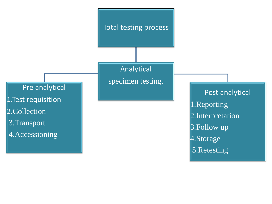

Analytical specimen testing.

Total testing process

Post analytical 1.Reporting 2.Interpretation 3.Follow up 4.Storage 5.Retesting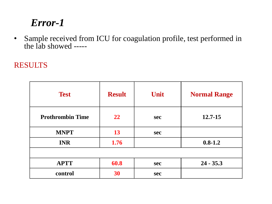#### *Error-1*

• Sample received from ICU for coagulation profile, test performed in the lab showed -----

#### RESULTS

| <b>Test</b>             | <b>Result</b> | Unit       | <b>Normal Range</b><br>$12.7 - 15$ |  |
|-------------------------|---------------|------------|------------------------------------|--|
| <b>Prothrombin Time</b> | 22            | <b>sec</b> |                                    |  |
| <b>MNPT</b>             | 13            | <b>sec</b> |                                    |  |
| <b>INR</b>              | 1.76          |            | $0.8 - 1.2$                        |  |
|                         |               |            |                                    |  |
| <b>APTT</b>             | 60.8          | <b>sec</b> | $24 - 35.3$                        |  |
| control                 | 30            | <b>sec</b> |                                    |  |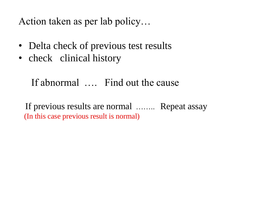Action taken as per lab policy…

- Delta check of previous test results
- check clinical history

If abnormal …. Find out the cause

If previous results are normal …….. Repeat assay (In this case previous result is normal)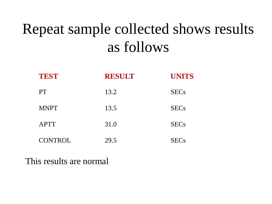## Repeat sample collected shows results as follows

| <b>TEST</b>    | <b>RESULT</b> | <b>UNITS</b> |
|----------------|---------------|--------------|
| <b>PT</b>      | 13.2          | <b>SECs</b>  |
| <b>MNPT</b>    | 13.5          | <b>SECs</b>  |
| <b>APTT</b>    | 31.0          | <b>SECs</b>  |
| <b>CONTROL</b> | 29.5          | <b>SECs</b>  |

This results are normal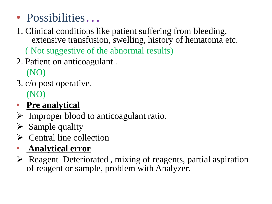- Possibilities…
- 1. Clinical conditions like patient suffering from bleeding, extensive transfusion, swelling, history of hematoma etc.

( Not suggestive of the abnormal results)

- 2. Patient on anticoagulant . (NO)
- 3. c/o post operative. (NO)

### • **Pre analytical**

- $\triangleright$  Improper blood to anticoagulant ratio.
- $\triangleright$  Sample quality
- $\triangleright$  Central line collection

### • **Analytical error**

 $\triangleright$  Reagent Deteriorated, mixing of reagents, partial aspiration of reagent or sample, problem with Analyzer.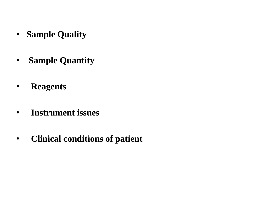- **Sample Quality**
- **Sample Quantity**
- **Reagents**
- **Instrument issues**
- **Clinical conditions of patient**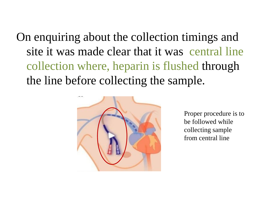On enquiring about the collection timings and site it was made clear that it was central line collection where, heparin is flushed through the line before collecting the sample.



Proper procedure is to be followed while collecting sample from central line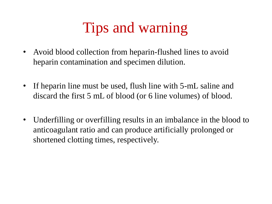# Tips and warning

- Avoid blood collection from heparin-flushed lines to avoid heparin contamination and specimen dilution.
- If heparin line must be used, flush line with 5-mL saline and discard the first 5 mL of blood (or 6 line volumes) of blood.
- Underfilling or overfilling results in an imbalance in the blood to anticoagulant ratio and can produce artificially prolonged or shortened clotting times, respectively.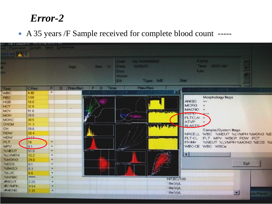#### *Error-2*

A 35 years /F Sample received for complete blood count -----

|                     |       |         |     |                       | HL15344355C<br><b>Sidd</b>                                           | <b>R&amp;PW:</b><br>Time: 09.03 AM |                           |
|---------------------|-------|---------|-----|-----------------------|----------------------------------------------------------------------|------------------------------------|---------------------------|
| m                   |       |         | Age | Sex: U                | 12/08/15<br>Dote:<br><b>Doc:</b><br>Ocom:<br><b>Dit:</b><br>Type: WB | Loc<br>Stot                        |                           |
| Test                | CRes  | FI<br>D |     | Prev:Flun F D Time    | <b>Prov Res</b>                                                      | <b>FARFIN</b>                      | $\sim$                    |
| WBC                 | 4.40  | m.      |     | 3441<br><b>MALLES</b> | <b>FULFW</b>                                                         | E                                  |                           |
| <b>RBC</b>          | 3.58  |         |     |                       | LE TELEST<br>15 O.                                                   | Morphology flegs                   |                           |
| HGB                 | 100   |         |     |                       |                                                                      | <b>ANISO</b><br>$+ +$              |                           |
| HCT                 | 328   |         |     |                       |                                                                      | <b>MICRO</b>                       |                           |
| <b>MCV</b>          | 91.6  |         |     |                       | <b>Live of Live 15</b>                                               | <b>MACFIO</b>                      |                           |
| <b>MCH</b>          | 28.0  |         |     |                       |                                                                      | <b>HAHO</b><br><b>PLTCLM</b>       |                           |
| <b>MCHC</b>         | 30.5  |         |     |                       |                                                                      | ATYP                               |                           |
| <b>CHCM</b>         | 31.3  |         |     |                       | <b>FLT TCATTER</b><br><b>Now or highly</b>                           | <b>BLASTS</b>                      |                           |
| CH                  | 28.6  |         |     |                       |                                                                      | Sample/System flags                |                           |
| <b>RDW</b>          | 20.4  |         |     |                       |                                                                      | NRCELL                             | WBC %NEUT %LYMPH %MONO %E |
| <b>HDW</b>          | 3.3.3 |         |     | <b>BOCH</b>           | <b>RIBG RATE</b>                                                     | PLT-CL                             | PLT MPV WBCP PDW PCT      |
| PLT                 | 16    |         |     |                       |                                                                      | PX-NV                              | %NEUT %LYMPH %MONO %EOS % |
| <b>MPV</b>          | 9.1   |         |     |                       |                                                                      | WBC-CE WBC WBCu                    |                           |
| <b>SCNEUT</b>       | 51.0  | ink.    |     | <b>REC. THO</b>       | <b>INDO-TO ATTOR</b><br><b>FECHI</b>                                 |                                    |                           |
| <b>SLYMPH</b>       | 122   | ×       |     |                       |                                                                      | K.                                 |                           |
| <b>TEMORIO</b>      | 298   | ۰       |     |                       |                                                                      |                                    |                           |
| %EOS:               | 0.1   | ۰       |     |                       | FIELD VOLUME.                                                        |                                    | Exit                      |
| <b>NBASO</b>        | 0.3   |         |     |                       |                                                                      |                                    |                           |
| <b>MAIO</b>         | 6.6   | ٠       |     |                       |                                                                      |                                    |                           |
| <b>NNRBC</b>        | -     |         |     |                       |                                                                      | NPBC/100                           |                           |
| <b><i>INEUT</i></b> | 225   | ٠       |     |                       |                                                                      | $10e3/\mu L$                       |                           |
| <b>WLYMFH</b>       | 0.54  | ٠       |     |                       |                                                                      | 10e3/uL                            |                           |
| <b>MIVEONED</b>     | 131   | ۰       |     |                       |                                                                      | $10a3/\mu L$                       |                           |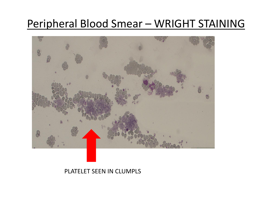#### Peripheral Blood Smear – WRIGHT STAINING



#### PLATELET SEEN IN CLUMPLS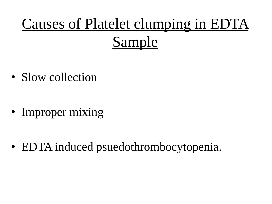# Causes of Platelet clumping in EDTA Sample

• Slow collection

• Improper mixing

• EDTA induced psuedothrombocytopenia.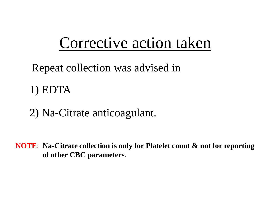# Corrective action taken

## Repeat collection was advised in

1) EDTA

2) Na-Citrate anticoagulant.

**NOTE**: **Na-Citrate collection is only for Platelet count & not for reporting of other CBC parameters**.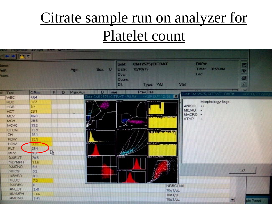# Citrate sample run on analyzer for Platelet count

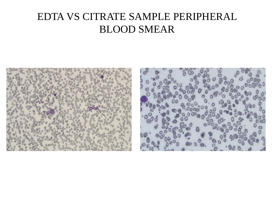#### EDTA VS CITRATE SAMPLE PERIPHERAL BLOOD SMEAR



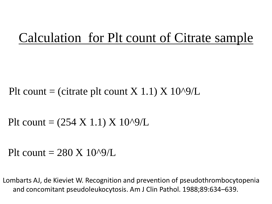## Calculation for Plt count of Citrate sample

Plt count = (citrate plt count X 1.1) X 10^9/L

#### Plt count =  $(254 \text{ X } 1.1) \text{ X } 10^{0.9}$ /L

Plt count  $= 280 \text{ X } 10^{19}/L$ 

Lombarts AJ, de Kieviet W. Recognition and prevention of pseudothrombocytopenia and concomitant pseudoleukocytosis. Am J Clin Pathol. 1988;89:634–639.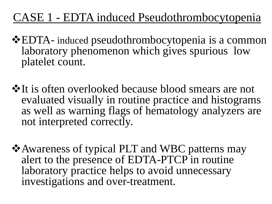## CASE 1 - EDTA induced Pseudothrombocytopenia

- EDTA- induced pseudothrombocytopenia is a common laboratory phenomenon which gives spurious low platelet count.
- **Vo the is often overlooked because blood smears are not** evaluated visually in routine practice and histograms as well as warning flags of hematology analyzers are not interpreted correctly.
- Awareness of typical PLT and WBC patterns may alert to the presence of EDTA-PTCP in routine laboratory practice helps to avoid unnecessary investigations and over-treatment.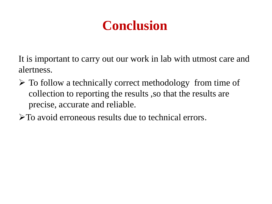## **Conclusion**

It is important to carry out our work in lab with utmost care and alertness.

- $\triangleright$  To follow a technically correct methodology from time of collection to reporting the results ,so that the results are precise, accurate and reliable.
- $\triangleright$  To avoid erroneous results due to technical errors.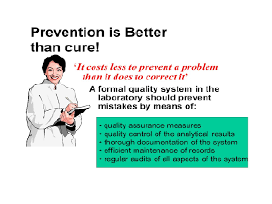## **Prevention is Better** than cure!

*'It costs less to prevent a problem* than it does to correct it'

> A formal quality system in the laboratory should prevent mistakes by means of:

- · quality assurance measures
- · quality control of the analytical results
- · thorough documentation of the system
- · efficient maintenance of records
- · regular audits of all aspects of the system